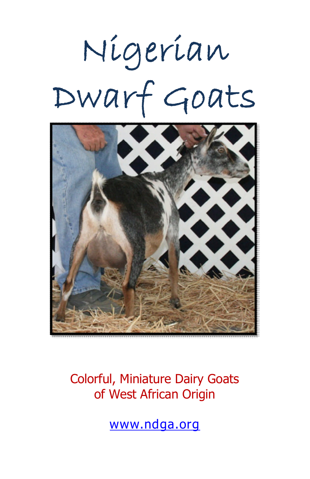# Nigerian Dwarf Goats



Colorful, Miniature Dairy Goats of West African Origin

www.ndga.org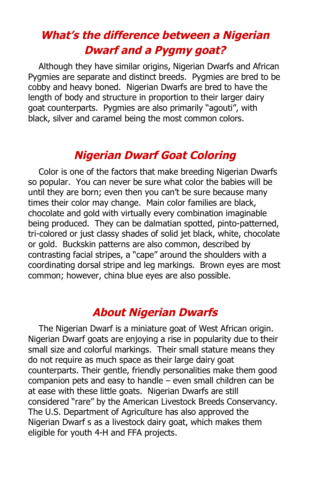## **What's the difference between <sup>a</sup> Nigerian Dwarf and <sup>a</sup> Pygmy goat?**

Although they have similar origins, Nigerian Dwarfs and African Pygmies are separate and distinct breeds. Pygmies are bred to be cobby and heavy boned. Nigerian Dwarfs are bred to have the length of body and structure in proportion to their larger dairy goat counterparts. Pygmies are also primarily "agouti", with black, silver and caramel being the most common colors.

## **Nigerian Dwarf Goat Coloring**

Color is one of the factors that make breeding Nigerian Dwarfs so popular. You can never be sure what color the babies will be until they are born; even then you can't be sure because many times their color may change. Main color families are black, chocolate and gold with virtually every combination imaginable being produced. They can be dalmatian spotted, pinto-patterned, tri-colored or just classy shades of solid jet black, white, chocolate or gold. Buckskin patterns are also common, described by contrasting facial stripes, a "cape" around the shoulders with a coordinating dorsal stripe and leg markings. Brown eyes are most common; however, china blue eyes are also possible.

#### **About Nigerian Dwarfs**

The Nigerian Dwarf is a miniature goat of West African origin. Nigerian Dwarf goats are enjoying a rise in popularity due to their small size and colorful markings. Their small stature means they do not require as much space as their large dairy goat counterparts. Their gentle, friendly personalities make them good companion pets and easy to handle – even small children can be at ease with these little goats. Nigerian Dwarfs are still considered "rare" by the American Livestock Breeds Conservancy. The U.S. Department of Agriculture has also approved the Nigerian Dwarf s as a livestock dairy goat, which makes them eligible for youth 4-H and FFA projects.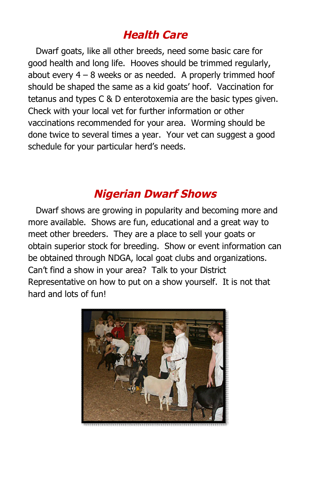## **Health Care**

Dwarf goats, like all other breeds, need some basic care for good health and long life. Hooves should be trimmed regularly, about every  $4 - 8$  weeks or as needed. A properly trimmed hoof should be shaped the same as a kid goats' hoof. Vaccination for tetanus and types C & D enterotoxemia are the basic types given. Check with your local vet for further information or other vaccinations recommended for your area. Worming should be done twice to several times a year. Your vet can suggest a good schedule for your particular herd's needs.

## **Nigerian Dwarf Shows**

Dwarf shows are growing in popularity and becoming more and more available. Shows are fun, educational and a great way to meet other breeders. They are a place to sell your goats or obtain superior stock for breeding. Show or event information can be obtained through NDGA, local goat clubs and organizations. Can't find a show in your area? Talk to your District Representative on how to put on a show yourself. It is not that hard and lots of fun!

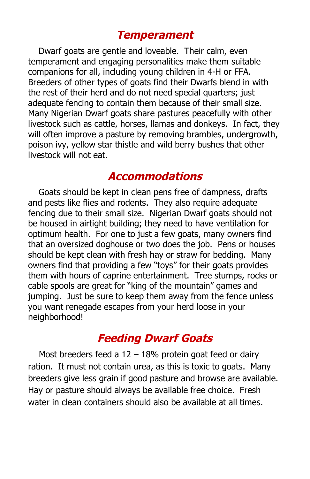#### **Temperament**

Dwarf goats are gentle and loveable. Their calm, even temperament and engaging personalities make them suitable companions for all, including young children in 4-H or FFA. Breeders of other types of goats find their Dwarfs blend in with the rest of their herd and do not need special quarters; just adequate fencing to contain them because of their small size. Many Nigerian Dwarf goats share pastures peacefully with other livestock such as cattle, horses, llamas and donkeys. In fact, they will often improve a pasture by removing brambles, undergrowth, poison ivy, yellow star thistle and wild berry bushes that other livestock will not eat.

#### **Accommodations**

Goats should be kept in clean pens free of dampness, drafts and pests like flies and rodents. They also require adequate fencing due to their small size. Nigerian Dwarf goats should not be housed in airtight building; they need to have ventilation for optimum health. For one to just a few goats, many owners find that an oversized doghouse or two does the job. Pens or houses should be kept clean with fresh hay or straw for bedding. Many owners find that providing a few "toys" for their goats provides them with hours of caprine entertainment. Tree stumps, rocks or cable spools are great for "king of the mountain" games and jumping. Just be sure to keep them away from the fence unless you want renegade escapes from your herd loose in your neighborhood!

#### **Feeding Dwarf Goats**

Most breeders feed a  $12 - 18%$  protein goat feed or dairy ration. It must not contain urea, as this is toxic to goats. Many breeders give less grain if good pasture and browse are available. Hay or pasture should always be available free choice. Fresh water in clean containers should also be available at all times.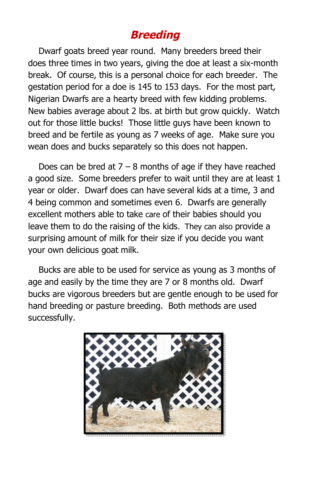## **Breeding**

Dwarf goats breed year round. Many breeders breed their does three times in two years, giving the doe at least a six-month break. Of course, this is a personal choice for each breeder. The gestation period for a doe is 145 to 153 days. For the most part, Nigerian Dwarfs are a hearty breed with few kidding problems. New babies average about 2 lbs. at birth but grow quickly. Watch out for those little bucks! Those little guys have been known to breed and be fertile as young as 7 weeks of age. Make sure you wean does and bucks separately so this does not happen.

Does can be bred at  $7 - 8$  months of age if they have reached a good size. Some breeders prefer to wait until they are at least 1 year or older. Dwarf does can have several kids at a time, 3 and 4 being common and sometimes even 6. Dwarfs are generally excellent mothers able to take care of their babies should you leave them to do the raising of the kids. They can also provide a surprising amount of milk for their size if you decide you want your own delicious goat milk.

Bucks are able to be used for service as young as 3 months of age and easily by the time they are 7 or 8 months old. Dwarf bucks are vigorous breeders but are gentle enough to be used for hand breeding or pasture breeding. Both methods are used successfully.

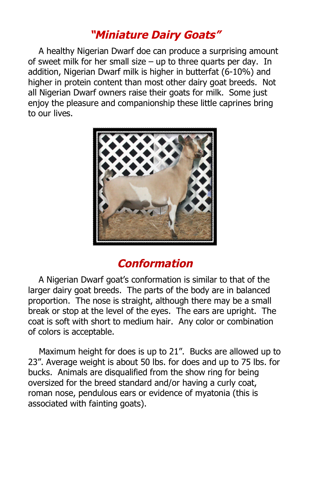## **"Miniature Dairy Goats"**

A healthy Nigerian Dwarf doe can produce a surprising amount of sweet milk for her small size – up to three quarts per day. In addition, Nigerian Dwarf milk is higher in butterfat (6-10%) and higher in protein content than most other dairy goat breeds. Not all Nigerian Dwarf owners raise their goats for milk. Some just enjoy the pleasure and companionship these little caprines bring to our lives.



#### **Conformation**

A Nigerian Dwarf goat's conformation is similar to that of the larger dairy goat breeds. The parts of the body are in balanced proportion. The nose is straight, although there may be a small break or stop at the level of the eyes. The ears are upright. The coat is soft with short to medium hair. Any color or combination of colors is acceptable.

Maximum height for does is up to 21". Bucks are allowed up to 23". Average weight is about 50 lbs. for does and up to 75 lbs. for bucks. Animals are disqualified from the show ring for being oversized for the breed standard and/or having a curly coat, roman nose, pendulous ears or evidence of myatonia (this is associated with fainting goats).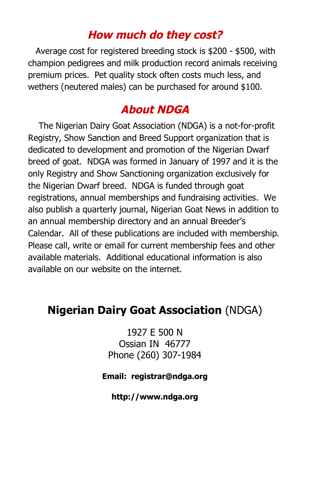#### **How much do they cost?**

Average cost for registered breeding stock is \$200 - \$500, with champion pedigrees and milk production record animals receiving premium prices. Pet quality stock often costs much less, and wethers (neutered males) can be purchased for around \$100.

#### **About NDGA**

The Nigerian Dairy Goat Association (NDGA) is a not-for-profit Registry, Show Sanction and Breed Support organization that is dedicated to development and promotion of the Nigerian Dwarf breed of goat. NDGA was formed in January of 1997 and it is the only Registry and Show Sanctioning organization exclusively for the Nigerian Dwarf breed. NDGA is funded through goat registrations, annual memberships and fundraising activities. We also publish a quarterly journal, Nigerian Goat News in addition to an annual membership directory and an annual Breeder's Calendar. All of these publications are included with membership. Please call, write or email for current membership fees and other available materials. Additional educational information is also available on our website on the internet.

#### **Nigerian Dairy Goat Association** (NDGA)

1927 E 500 N Ossian IN 46777 Phone (260) 307-1984

#### **Email: registrar@ndga.org**

**http://www.ndga.org**